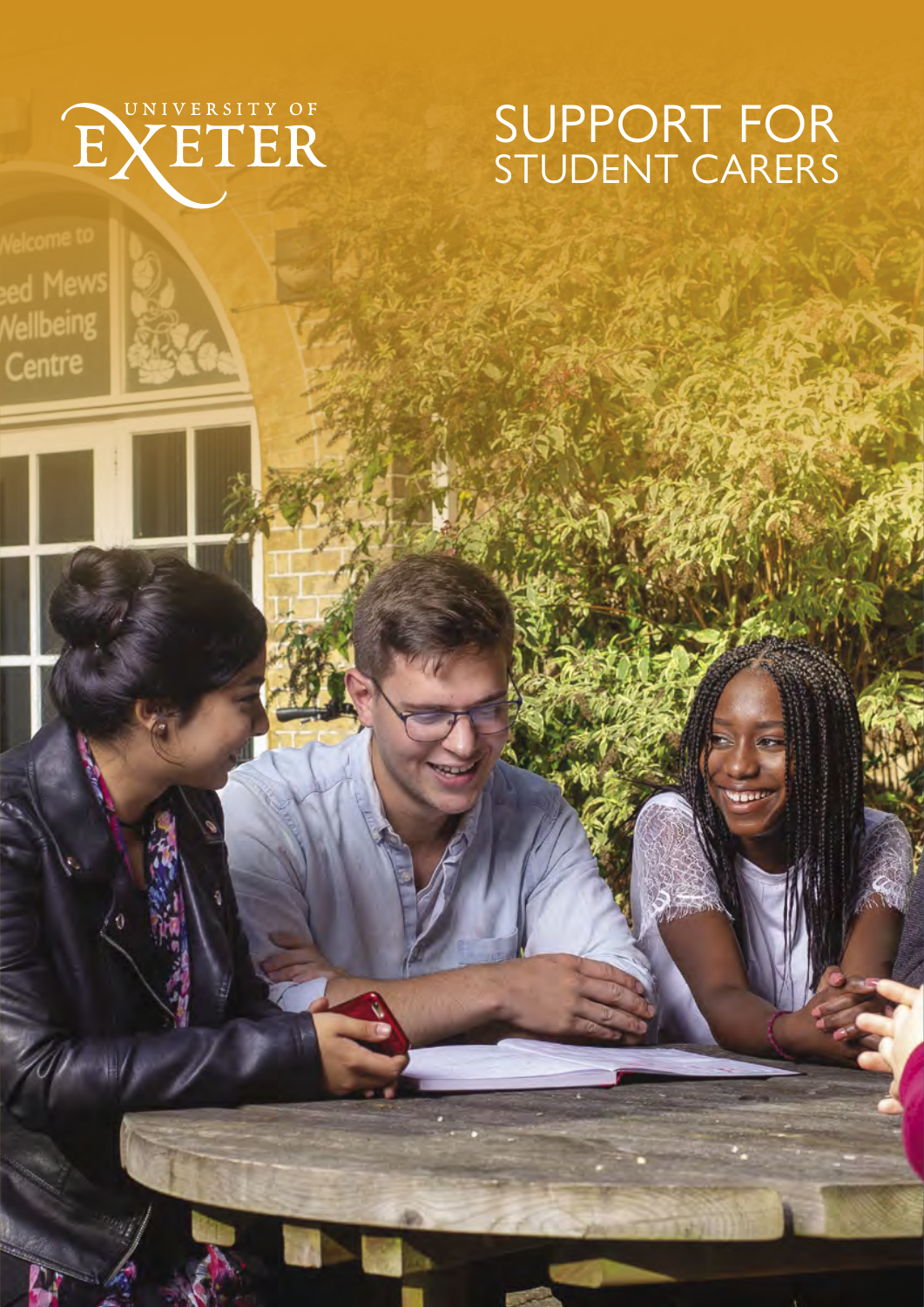## SUPPORT FOR STUDENT CARERS



Vellbeing Centre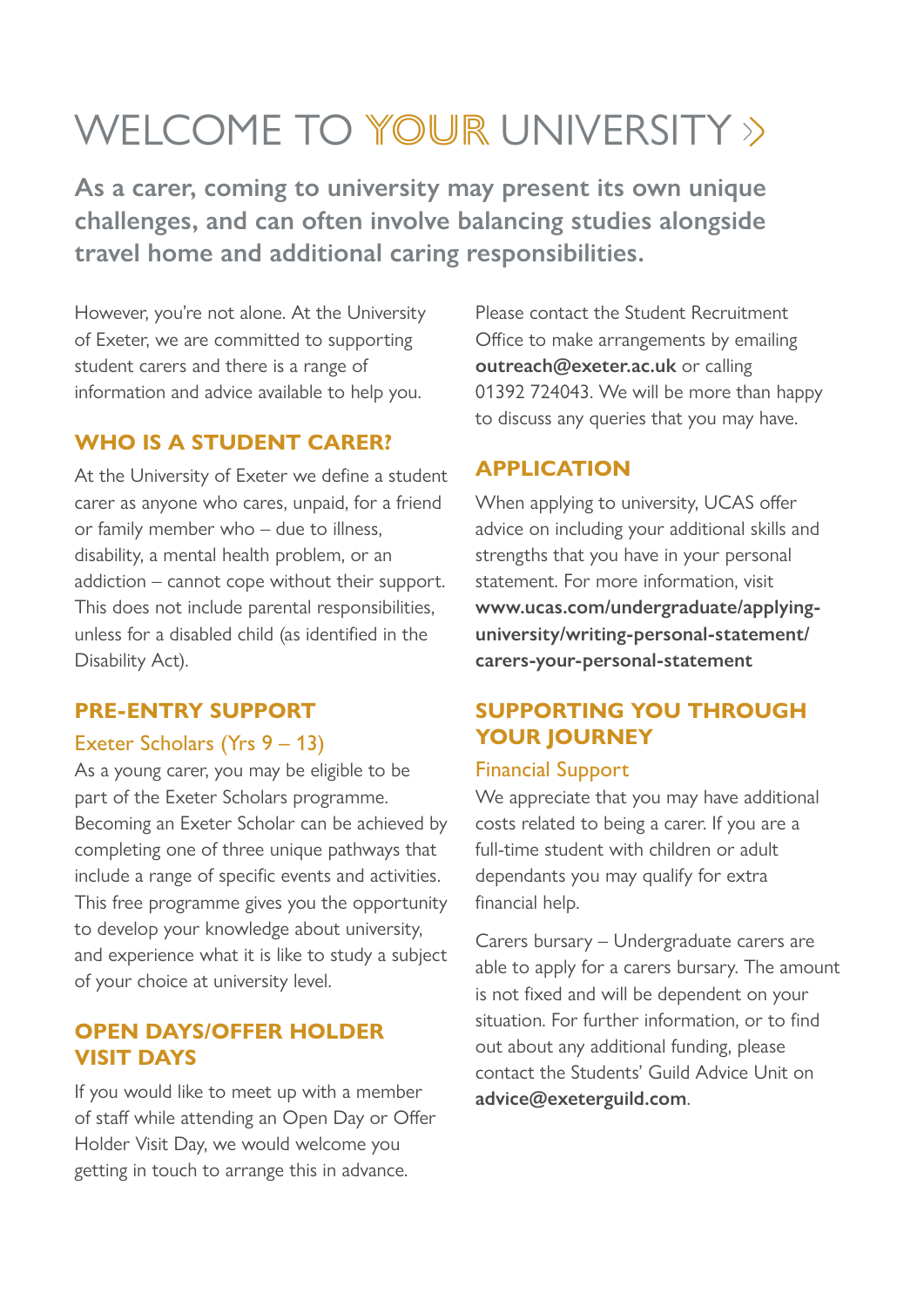# WEI COME TO YOUR UNIVERSITY >>

**As a carer, coming to university may present its own unique challenges, and can often involve balancing studies alongside travel home and additional caring responsibilities.** 

However, you're not alone. At the University of Exeter, we are committed to supporting student carers and there is a range of information and advice available to help you.

#### **WHO IS A STUDENT CARER?**

At the University of Exeter we define a student carer as anyone who cares, unpaid, for a friend or family member who – due to illness, disability, a mental health problem, or an addiction – cannot cope without their support. This does not include parental responsibilities, unless for a disabled child (as identified in the Disability Act).

#### **PRE-ENTRY SUPPORT**

#### Exeter Scholars (Yrs 9 – 13)

As a young carer, you may be eligible to be part of the Exeter Scholars programme. Becoming an Exeter Scholar can be achieved by completing one of three unique pathways that include a range of specific events and activities. This free programme gives you the opportunity to develop your knowledge about university, and experience what it is like to study a subject of your choice at university level.

## **OPEN DAYS/OFFER HOLDER VISIT DAYS**

If you would like to meet up with a member of staff while attending an Open Day or Offer Holder Visit Day, we would welcome you getting in touch to arrange this in advance.

Please contact the Student Recruitment Office to make arrangements by emailing **outreach@exeter.ac.uk** or calling 01392 724043. We will be more than happy to discuss any queries that you may have.

## **APPLICATION**

When applying to university, UCAS offer advice on including your additional skills and strengths that you have in your personal statement. For more information, visit **www.ucas.com/undergraduate/applyinguniversity/writing-personal-statement/ carers-your-personal-statement**

## **SUPPORTING YOU THROUGH YOUR JOURNEY**

#### Financial Support

We appreciate that you may have additional costs related to being a carer. If you are a full-time student with children or adult dependants you may qualify for extra financial help.

Carers bursary – Undergraduate carers are able to apply for a carers bursary. The amount is not fixed and will be dependent on your situation. For further information, or to find out about any additional funding, please contact the Students' Guild Advice Unit on **advice@exeterguild.com**.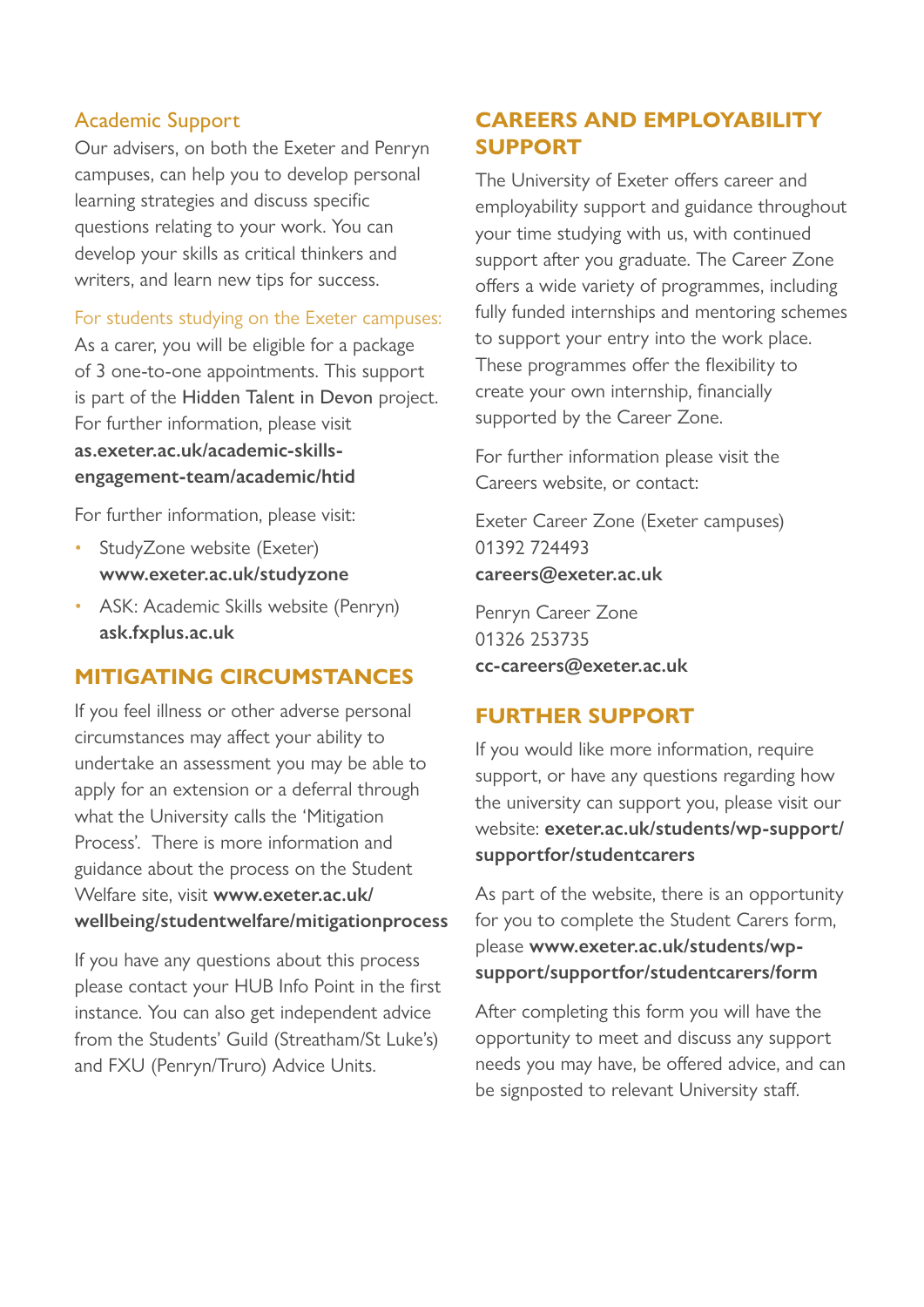#### Academic Support

Our advisers, on both the Exeter and Penryn campuses, can help you to develop personal learning strategies and discuss specific questions relating to your work. You can develop your skills as critical thinkers and writers, and learn new tips for success.

For students studying on the Exeter campuses:

As a carer, you will be eligible for a package of 3 one-to-one appointments. This support is part of the Hidden Talent in Devon project. For further information, please visit as exeter ac uk/academic-skills**engagement-team/academic/htid**

For further information, please visit:

- StudyZone website (Exeter) **www.exeter.ac.uk/studyzone**
- ASK: Academic Skills website (Penryn) **ask.fxplus.ac.uk**

#### **MITIGATING CIRCUMSTANCES**

If you feel illness or other adverse personal circumstances may affect your ability to undertake an assessment you may be able to apply for an extension or a deferral through what the University calls the 'Mitigation Process'. There is more information and guidance about the process on the Student Welfare site, visit **www.exeter.ac.uk/ wellbeing/studentwelfare/mitigationprocess**

If you have any questions about this process please contact your HUB Info Point in the first instance. You can also get independent advice from the Students' Guild (Streatham/St Luke's) and FXU (Penryn/Truro) Advice Units.

## **CAREERS AND EMPLOYABILITY SUPPORT**

The University of Exeter offers career and employability support and guidance throughout your time studying with us, with continued support after you graduate. The Career Zone offers a wide variety of programmes, including fully funded internships and mentoring schemes to support your entry into the work place. These programmes offer the flexibility to create your own internship, financially supported by the Career Zone.

For further information please visit the Careers website, or contact:

Exeter Career Zone (Exeter campuses) 01392 724493 **careers@exeter.ac.uk** 

Penryn Career Zone 01326 253735 **cc-careers@exeter.ac.uk**

## **FURTHER SUPPORT**

If you would like more information, require support, or have any questions regarding how the university can support you, please visit our website: **exeter.ac.uk/students/wp-support/ supportfor/studentcarers**

As part of the website, there is an opportunity for you to complete the Student Carers form, please **www.exeter.ac.uk/students/wpsupport/supportfor/studentcarers/form**

After completing this form you will have the opportunity to meet and discuss any support needs you may have, be offered advice, and can be signposted to relevant University staff.